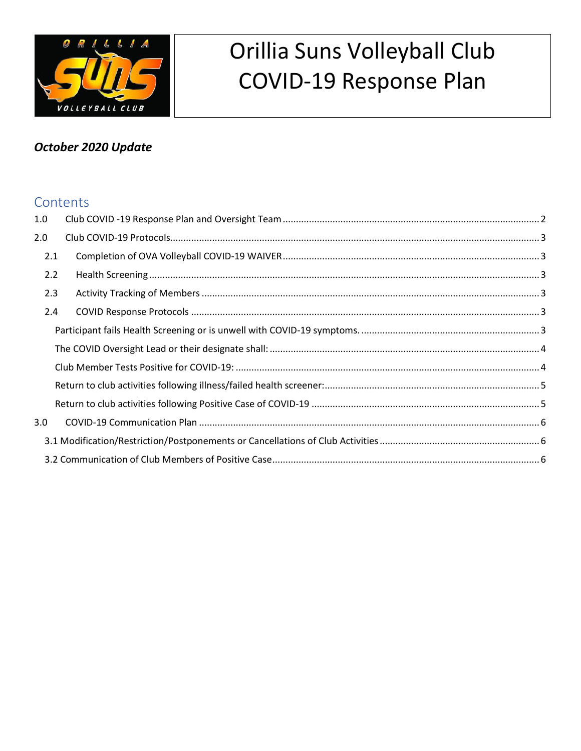

# Orillia Suns Volleyball Club **COVID-19 Response Plan**

# October 2020 Update

### Contents

| 1.0 |  |  |  |  |  |
|-----|--|--|--|--|--|
| 2.0 |  |  |  |  |  |
| 2.1 |  |  |  |  |  |
| 2.2 |  |  |  |  |  |
| 2.3 |  |  |  |  |  |
| 2.4 |  |  |  |  |  |
|     |  |  |  |  |  |
|     |  |  |  |  |  |
|     |  |  |  |  |  |
|     |  |  |  |  |  |
|     |  |  |  |  |  |
| 3.0 |  |  |  |  |  |
|     |  |  |  |  |  |
|     |  |  |  |  |  |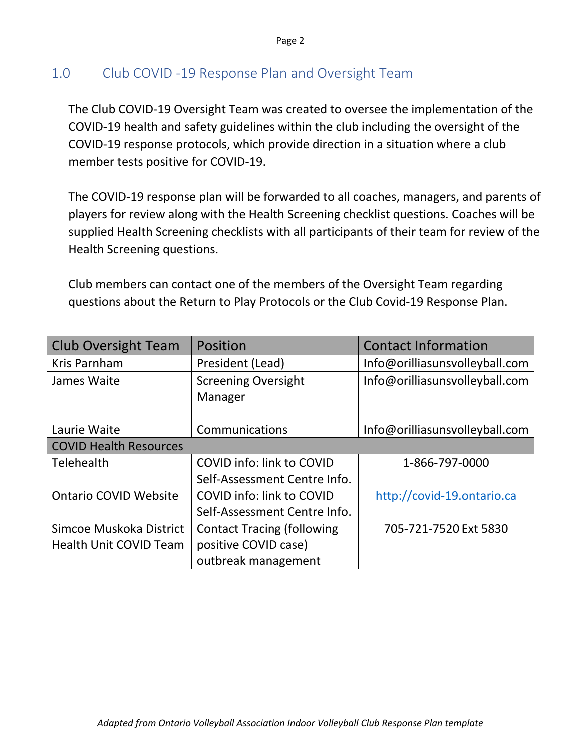# <span id="page-1-0"></span>1.0 Club COVID -19 Response Plan and Oversight Team

The Club COVID-19 Oversight Team was created to oversee the implementation of the COVID-19 health and safety guidelines within the club including the oversight of the COVID-19 response protocols, which provide direction in a situation where a club member tests positive for COVID-19.

The COVID-19 response plan will be forwarded to all coaches, managers, and parents of players for review along with the Health Screening checklist questions. Coaches will be supplied Health Screening checklists with all participants of their team for review of the Health Screening questions.

Club members can contact one of the members of the Oversight Team regarding questions about the Return to Play Protocols or the Club Covid-19 Response Plan.

| <b>Club Oversight Team</b>    | Position                          | <b>Contact Information</b>     |  |  |
|-------------------------------|-----------------------------------|--------------------------------|--|--|
| Kris Parnham                  | President (Lead)                  | Info@orilliasunsvolleyball.com |  |  |
| James Waite                   | <b>Screening Oversight</b>        | Info@orilliasunsvolleyball.com |  |  |
|                               | Manager                           |                                |  |  |
|                               |                                   |                                |  |  |
| Laurie Waite                  | Communications                    | Info@orilliasunsvolleyball.com |  |  |
| <b>COVID Health Resources</b> |                                   |                                |  |  |
| Telehealth                    | <b>COVID info: link to COVID</b>  | 1-866-797-0000                 |  |  |
|                               | Self-Assessment Centre Info.      |                                |  |  |
| <b>Ontario COVID Website</b>  | COVID info: link to COVID         | http://covid-19.ontario.ca     |  |  |
|                               | Self-Assessment Centre Info.      |                                |  |  |
| Simcoe Muskoka District       | <b>Contact Tracing (following</b> | 705-721-7520 Ext 5830          |  |  |
| <b>Health Unit COVID Team</b> | positive COVID case)              |                                |  |  |
|                               | outbreak management               |                                |  |  |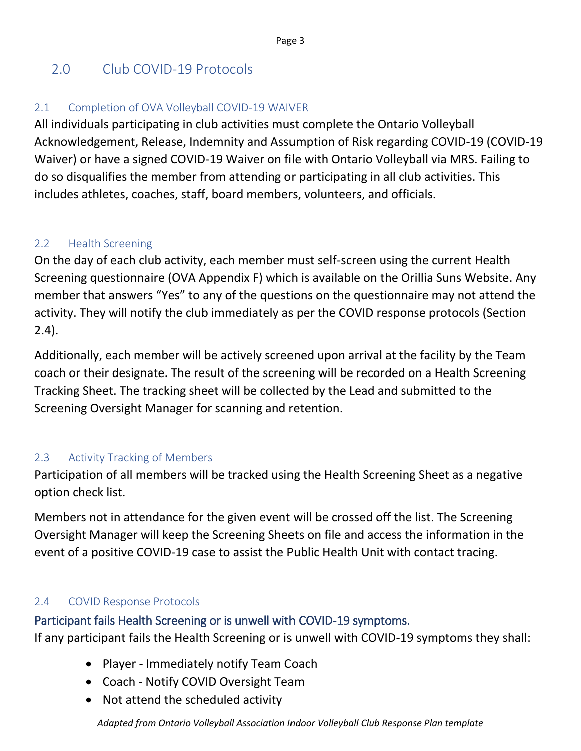# <span id="page-2-0"></span>2.0 Club COVID-19 Protocols

#### <span id="page-2-1"></span>2.1 Completion of OVA Volleyball COVID-19 WAIVER

All individuals participating in club activities must complete the Ontario Volleyball Acknowledgement, Release, Indemnity and Assumption of Risk regarding COVID-19 (COVID-19 Waiver) or have a signed COVID-19 Waiver on file with Ontario Volleyball via MRS. Failing to do so disqualifies the member from attending or participating in all club activities. This includes athletes, coaches, staff, board members, volunteers, and officials.

#### <span id="page-2-2"></span>2.2 Health Screening

On the day of each club activity, each member must self-screen using the current Health Screening questionnaire (OVA Appendix F) which is available on the Orillia Suns Website. Any member that answers "Yes" to any of the questions on the questionnaire may not attend the activity. They will notify the club immediately as per the COVID response protocols (Section 2.4).

Additionally, each member will be actively screened upon arrival at the facility by the Team coach or their designate. The result of the screening will be recorded on a Health Screening Tracking Sheet. The tracking sheet will be collected by the Lead and submitted to the Screening Oversight Manager for scanning and retention.

### <span id="page-2-3"></span>2.3 Activity Tracking of Members

Participation of all members will be tracked using the Health Screening Sheet as a negative option check list.

Members not in attendance for the given event will be crossed off the list. The Screening Oversight Manager will keep the Screening Sheets on file and access the information in the event of a positive COVID-19 case to assist the Public Health Unit with contact tracing.

#### <span id="page-2-4"></span>2.4 COVID Response Protocols

### <span id="page-2-5"></span>Participant fails Health Screening or is unwell with COVID-19 symptoms.

If any participant fails the Health Screening or is unwell with COVID-19 symptoms they shall:

- Player Immediately notify Team Coach
- Coach Notify COVID Oversight Team
- Not attend the scheduled activity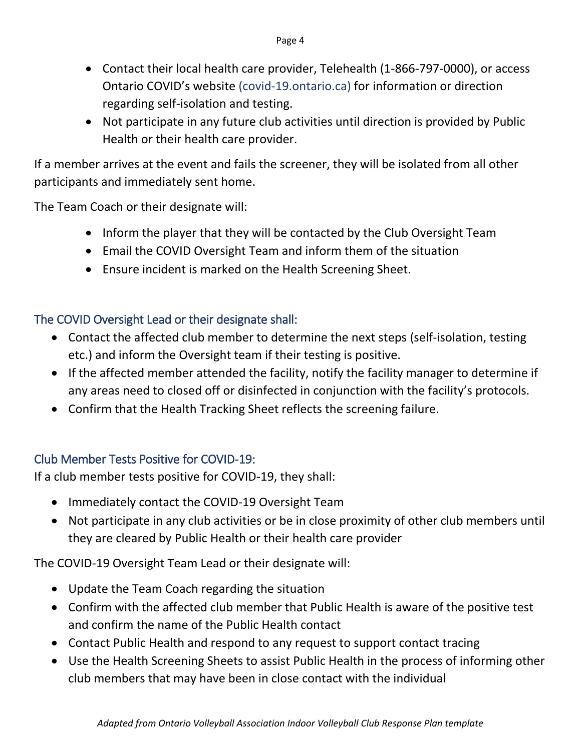- Contact their local health care provider, Telehealth (1-866-797-0000), or access Ontario COVID's website (covid-19.ontario.ca) for information or direction regarding self-isolation and testing.
- Not participate in any future club activities until direction is provided by Public Health or their health care provider.

If a member arrives at the event and fails the screener, they will be isolated from all other participants and immediately sent home.

The Team Coach or their designate will:

- Inform the player that they will be contacted by the Club Oversight Team
- Email the COVID Oversight Team and inform them of the situation
- Ensure incident is marked on the Health Screening Sheet.

# <span id="page-3-0"></span>The COVID Oversight Lead or their designate shall:

- Contact the affected club member to determine the next steps (self-isolation, testing etc.) and inform the Oversight team if their testing is positive.
- If the affected member attended the facility, notify the facility manager to determine if any areas need to closed off or disinfected in conjunction with the facility's protocols.
- Confirm that the Health Tracking Sheet reflects the screening failure.

# <span id="page-3-1"></span>Club Member Tests Positive for COVID-19:

If a club member tests positive for COVID-19, they shall:

- Immediately contact the COVID-19 Oversight Team
- Not participate in any club activities or be in close proximity of other club members until they are cleared by Public Health or their health care provider

The COVID-19 Oversight Team Lead or their designate will:

- Update the Team Coach regarding the situation
- Confirm with the affected club member that Public Health is aware of the positive test and confirm the name of the Public Health contact
- Contact Public Health and respond to any request to support contact tracing
- Use the Health Screening Sheets to assist Public Health in the process of informing other club members that may have been in close contact with the individual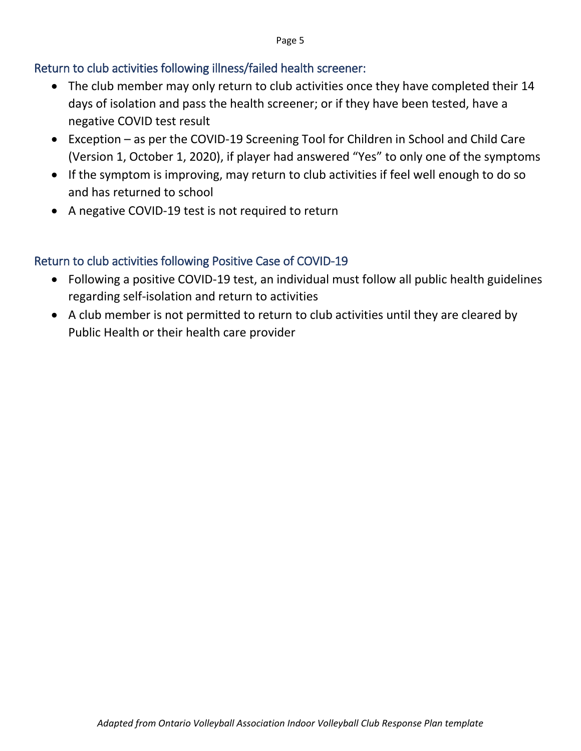#### Page 5

#### <span id="page-4-0"></span>Return to club activities following illness/failed health screener:

- The club member may only return to club activities once they have completed their 14 days of isolation and pass the health screener; or if they have been tested, have a negative COVID test result
- Exception as per the COVID-19 Screening Tool for Children in School and Child Care (Version 1, October 1, 2020), if player had answered "Yes" to only one of the symptoms
- If the symptom is improving, may return to club activities if feel well enough to do so and has returned to school
- A negative COVID-19 test is not required to return

#### <span id="page-4-1"></span>Return to club activities following Positive Case of COVID-19

- Following a positive COVID-19 test, an individual must follow all public health guidelines regarding self-isolation and return to activities
- A club member is not permitted to return to club activities until they are cleared by Public Health or their health care provider